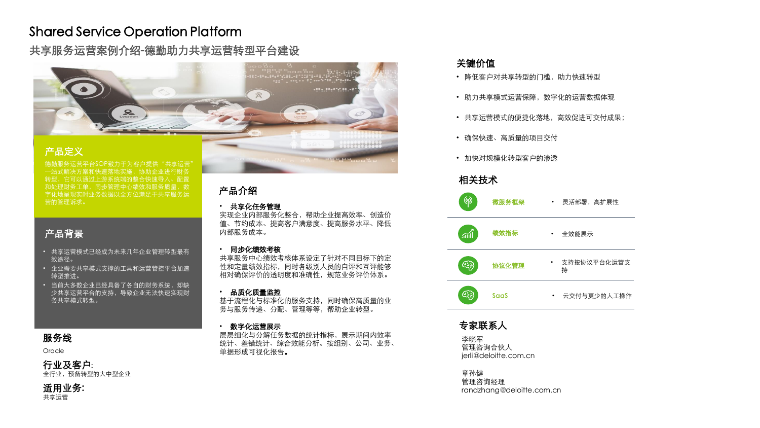# Shared Service Operation Platform

共享服务运营案例介绍-德勤助力共享运营转型平台建设



## 产品定义

德勤服务运营平台SOP致力于为客户提供"共享运营" 一站式解决方案和快速落地实施,协助企业进行财务 转型,它可以通过上游系统端的整合快速导入、配置 和处理财务工单,同步管理中心绩效和服务质量,数 字化地呈现实时业务数据以全方位满足于共享服务运 营的管理诉求。

# 产品背景

- 共享运营模式已经成为未来几年企业管理转型最有 效途径。
- 企业需要共享模式支撑的工具和运营管控平台加速 转型推进。
- 当前大多数企业已经具备了各自的财务系统,却缺 少共享运营平台的支持,导致企业无法快速实现财 务共享模式转型。

#### 服务线

Oracle

#### 行业及客户:

全行业,预备转型的大中型企业

适用业务: 共享运营

## 产品介绍

• 共享化任务管理

实现企业内部服务化整合,帮助企业提高效率、创造价 值、节约成本、提高客户满意度、提高服务水平、降低 内部服务成本。

io o a

#### • 同步化绩效考核

共享服务中心绩效考核体系设定了针对不同目标下的定 性和定量绩效指标,同时各级别人员的自评和互评能够 相对确保评价的透明度和准确性,规范业务评价体系。

#### • 品质化质量监控

基于流程化与标准化的服务支持,同时确保高质量的业 务与服务传递、分配、管理等等,帮助企业转型。

#### • 数字化运营展示

层层细化与分解任务数据的统计指标,展示期间内效率 统计、差错统计、综合效能分析。按组别、公司、业务、 单据形成可视化报告。

# 关键价值

- 降低客户对共享转型的门槛,助力快速转型
- 助力共享模式运营保障,数字化的运营数据体现
- 共享运营模式的便捷化落地,高效促进可交付成果;
- 确保快速、高质量的项目交付
- 加快对规模化转型客户的渗透

#### 相关技术



# 专家联系人

李晓军 管理咨询合伙人 jerli@deloitte.com.cn

章孙健 管理咨询经理 randzhang@deloitte.com.cn